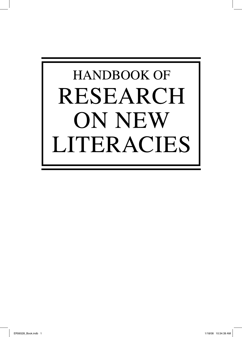## **HANDBOOK OF RESEARCH ON NEW** LITERACIES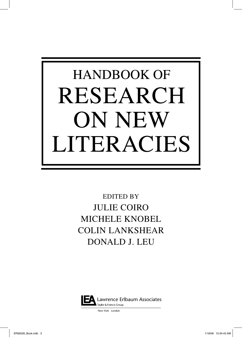# **HANDBOOK OF RESEARCH ON NEW** LITERACIES

EditEd by JuliE Coiro MiChElE KnobEl Colin lanKshEar donald J. lEu



New York London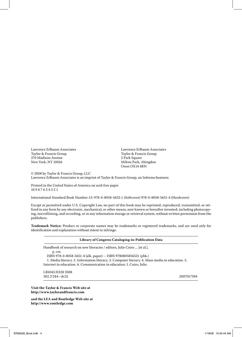Lawrence Erlbaum Associates Taylor & Francis Group 270 Madison Avenue New York, NY 10016

Lawrence Erlbaum Associates Taylor & Francis Group 2 Park Square Milton Park, Abingdon Oxon OX14 4RN

© 2008 by Taylor & Francis Group, LLC Lawrence Erlbaum Associates is an imprint of Taylor & Francis Group, an Informa business

Printed in the United States of America on acid‑free paper 10 9 8 7 6 5 4 3 2 1

International Standard Book Number‑13: 978‑0‑8058‑5652‑1 (Softcover) 978‑0‑8058‑5651‑4 (Hardcover)

Except as permitted under U.S. Copyright Law, no part of this book may be reprinted, reproduced, transmitted, or utilized in any form by any electronic, mechanical, or other means, now known or hereafter invented, including photocopying, microfilming, and recording, or in any information storage or retrieval system, without written permission from the publishers.

**Trademark Notice:** Product or corporate names may be trademarks or registered trademarks, and are used only for identification and explanation without intent to infringe.

| Library of Congress Cataloging-in-Publication Data                                                                                                                   |            |
|----------------------------------------------------------------------------------------------------------------------------------------------------------------------|------------|
| Handbook of research on new literacies / editors, Julie Coiro  [et al.].                                                                                             |            |
| p. cm.                                                                                                                                                               |            |
| ISBN 978-0-8058-5651-4 (alk. paper) -- ISBN 9780805856521 (pbk.)<br>1. Media literacy. 2. Information literacy. 3. Computer literacy. 4. Mass media in education. 5. |            |
| Internet in education. 6. Communication in education. I. Coiro, Julie.                                                                                               |            |
| LB1043.H328 2008                                                                                                                                                     |            |
| $302.2'244 - dc22$                                                                                                                                                   | 2007017594 |

**Visit the Taylor & Francis Web site at http://www.taylorandfrancis.com**

**and the LEA and Routledge Web site at http://www.routledge.com**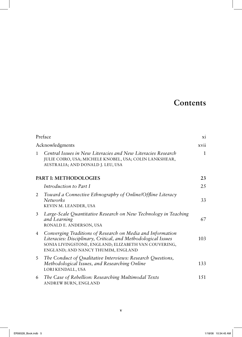## **Contents**

| Preface        |                                                                                                                                                                                                                           | X1           |  |
|----------------|---------------------------------------------------------------------------------------------------------------------------------------------------------------------------------------------------------------------------|--------------|--|
|                | Acknowledgments                                                                                                                                                                                                           | xvii         |  |
| $\mathbf{1}$   | Central Issues in New Literacies and New Literacies Research<br>JULIE COIRO, USA; MICHELE KNOBEL, USA; COLIN LANKSHEAR,<br>AUSTRALIA; AND DONALD J. LEU, USA                                                              | $\mathbf{1}$ |  |
|                | PART I: METHODOLOGIES                                                                                                                                                                                                     | 23           |  |
|                | Introduction to Part I                                                                                                                                                                                                    | 25           |  |
| 2              | Toward a Connective Ethnography of Online/Offline Literacy<br><i>Networks</i><br>KEVIN M. LEANDER, USA                                                                                                                    | 33           |  |
| 3              | Large-Scale Quantitative Research on New Technology in Teaching<br>and Learning<br>RONALD E. ANDERSON, USA                                                                                                                | 67           |  |
| $\overline{4}$ | Converging Traditions of Research on Media and Information<br>Literacies: Disciplinary, Critical, and Methodological Issues<br>SONIA LIVINGSTONE, ENGLAND; ELIZABETH VAN COUVERING,<br>ENGLAND; AND NANCY THUMIM, ENGLAND | 103          |  |
| 5              | The Conduct of Qualitative Interviews: Research Questions,<br>Methodological Issues, and Researching Online<br>LORI KENDALL, USA                                                                                          | 133          |  |
| 6              | The Case of Rebellion: Researching Multimodal Texts<br>ANDREW BURN, ENGLAND                                                                                                                                               | 151          |  |

 $\mathbf{v}$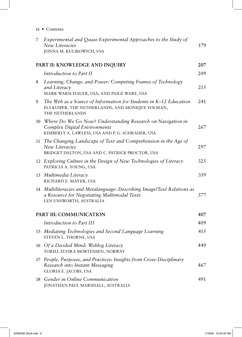**vi** • Contents

| 7  | Experimental and Quasi-Experimental Approaches to the Study of<br>New Literacies<br>JONNA M. KULIKOWICH, USA                                      | 179 |
|----|---------------------------------------------------------------------------------------------------------------------------------------------------|-----|
|    | PART II: KNOWLEDGE AND INQUIRY                                                                                                                    | 207 |
|    | Introduction to Part II                                                                                                                           | 209 |
| 8  | Learning, Change, and Power: Competing Frames of Technology<br>and Literacy<br>MARK WARSCHAUER, USA, AND PAIGE WARE, USA                          | 215 |
| 9  | The Web as a Source of Information for Students in K-12 Education<br>ELS KUIPER, THE NETHERLANDS, AND MONIQUE VOLMAN,<br>THE NETHERLANDS          | 241 |
| 10 | Where Do We Go Now? Understanding Research on Navigation in<br>Complex Digital Environments<br>KIMBERLY A. LAWLESS, USA AND P. G. SCHRADER, USA   | 267 |
| 11 | The Changing Landscape of Text and Comprehension in the Age of<br>New Literacies<br>BRIDGET DALTON, USA AND C. PATRICK PROCTOR, USA               | 297 |
|    | 12 Exploring Culture in the Design of New Technologies of Literacy<br>PATRICIA A. YOUNG, USA                                                      | 325 |
|    | 13 Multimedia Literacy<br>RICHARD E. MAYER, USA                                                                                                   | 359 |
|    | 14 Multiliteracies and Metalanguage: Describing Image/Text Relations as<br>a Resource for Negotiating Multimodal Texts<br>LEN UNSWORTH, AUSTRALIA | 377 |
|    | PART III: COMMUNICATION                                                                                                                           | 407 |
|    | Introduction to Part III                                                                                                                          | 409 |
|    | 15 Mediating Technologies and Second Language Learning<br>STEVEN L. THORNE, USA                                                                   | 415 |
|    | 16 Of a Divided Mind: Weblog Literacy<br>TORILL ELVIRA MORTENSEN, NORWAY                                                                          | 449 |
| 17 | People, Purposes, and Practices: Insights from Cross-Disciplinary<br>Research into Instant Messaging<br><b>GLORIA E. JACOBS, USA</b>              | 467 |
|    | 18 Gender in Online Communication<br>JONATHAN PAUL MARSHALL, AUSTRALIA                                                                            | 491 |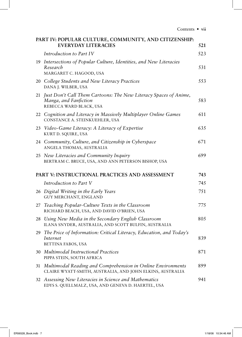|    | PART IV: POPULAR CULTURE, COMMUNITY, AND CITIZENSHIP:<br><b>EVERYDAY LITERACIES</b>                                      | 521 |
|----|--------------------------------------------------------------------------------------------------------------------------|-----|
|    | Introduction to Part IV                                                                                                  | 523 |
|    | 19 Intersections of Popular Culture, Identities, and New Literacies<br>Research<br>MARGARET C. HAGOOD, USA               | 531 |
|    | 20 College Students and New Literacy Practices<br>DANA J. WILBER, USA                                                    | 553 |
| 21 | Just Don't Call Them Cartoons: The New Literacy Spaces of Anime,<br>Manga, and Fanfiction<br>REBECCA WARD BLACK, USA     | 583 |
|    | 22 Cognition and Literacy in Massively Multiplayer Online Games<br>CONSTANCE A. STEINKUEHLER, USA                        | 611 |
|    | 23 Video-Game Literacy: A Literacy of Expertise<br>KURT D. SQUIRE, USA                                                   | 635 |
|    | 24 Community, Culture, and Citizenship in Cyberspace<br>ANGELA THOMAS, AUSTRALIA                                         | 671 |
|    | 25 New Literacies and Community Inquiry<br>BERTRAM C. BRUCE, USA, AND ANN PETERSON BISHOP, USA                           | 699 |
|    | PART V: INSTRUCTIONAL PRACTICES AND ASSESSMENT                                                                           | 743 |
|    | Introduction to Part V                                                                                                   | 745 |
|    | 26 Digital Writing in the Early Years<br>GUY MERCHANT, ENGLAND                                                           | 751 |
| 27 | Teaching Popular-Culture Texts in the Classroom<br>RICHARD BEACH, USA, AND DAVID O'BRIEN, USA                            | 775 |
| 28 | Using New Media in the Secondary English Classroom<br>ILANA SNYDER, AUSTRALIA, AND SCOTT BULFIN, AUSTRALIA               | 805 |
|    | 29 The Price of Information: Critical Literacy, Education, and Today's<br>Internet<br>BETTINA FABOS, USA                 | 839 |
| 30 | <b>Multimodal Instructional Practices</b><br>PIPPA STEIN, SOUTH AFRICA                                                   | 871 |
| 31 | Multimodal Reading and Comprehension in Online Environments<br>CLAIRE WYATT-SMITH, AUSTRALIA, AND JOHN ELKINS, AUSTRALIA | 899 |
| 32 | Assessing New Literacies in Science and Mathematics<br>EDYS S. QUELLMALZ, USA, AND GENEVA D. HAERTEL, USA                | 941 |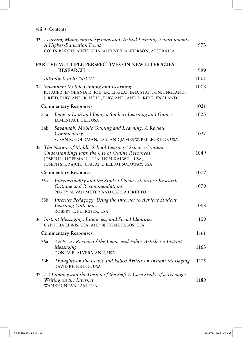**viii** • Contents

|    |                 | 33 Learning Management Systems and Virtual Learning Environments:<br>A Higher-Education Focus<br>COLIN BASKIN, AUSTRALIA, AND NEIL ANDERSON, AUSTRALIA                                                          | 973  |
|----|-----------------|-----------------------------------------------------------------------------------------------------------------------------------------------------------------------------------------------------------------|------|
|    |                 | PART VI: MULTIPLE PERSPECTIVES ON NEW LITERACIES<br><b>RESEARCH</b>                                                                                                                                             | 999  |
|    |                 | Introduction to Part VI                                                                                                                                                                                         | 1001 |
|    |                 | 34 Savannah: Mobile Gaming and Learning?<br>K. FACER, ENGLAND; R. JOINER, ENGLAND; D. STANTON, ENGLAND;<br>J. REID, ENGLAND; R. HULL, ENGLAND; AND D. KIRK, ENGLAND                                             | 1003 |
|    |                 | <b>Commentary Responses</b>                                                                                                                                                                                     | 1021 |
|    | 34a             | Being a Lion and Being a Soldier: Learning and Games<br>JAMES PAUL GEE, USA                                                                                                                                     | 1023 |
|    | 34b             | Savannah: Mobile Gaming and Learning: A Review<br>Commentary<br>SUSAN R. GOLDMAN, USA, AND JAMES W. PELLEGRINO, USA                                                                                             | 1037 |
|    |                 | 35 The Nature of Middle School Learners' Science Content<br>Understandings with the Use of Online Resources<br>JOSEPH L. HOFFMAN, , USA; HSIN-KAI WU, , USA;<br>JOSEPH S. KRAJCIK, USA; AND ELLIOT SOLOWAY, USA | 1049 |
|    |                 | <b>Commentary Responses</b>                                                                                                                                                                                     | 1077 |
|    | 35a             | Intertextuality and the Study of New Literacies: Research<br>Critique and Recommendations<br>PEGGY N. VAN METER AND CARLA FIRETTO                                                                               | 1079 |
|    | 35 <sub>b</sub> | Internet Pedagogy: Using the Internet to Achieve Student<br>Learning Outcomes<br>ROBERT E. BLEICHER, USA                                                                                                        | 1093 |
|    |                 | 36 Instant Messaging, Literacies, and Social Identities<br>CYNTHIA LEWIS, USA, AND BETTINA FABOS, USA                                                                                                           | 1109 |
|    |                 | <b>Commentary Responses</b>                                                                                                                                                                                     | 1161 |
|    | 36a             | An Essay Review of the Lewis and Fabos Article on Instant<br>Messaging<br>DONNA E. ALVERMANN, USA                                                                                                               | 1163 |
|    | 36b             | Thoughts on the Lewis and Fabos Article on Instant Messaging<br>DAVID REINKING, USA                                                                                                                             | 1175 |
| 37 |                 | L2 Literacy and the Design of the Self: A Case Study of a Teenager<br>Writing on the Internet<br>WAN SHUN EVA LAM, USA                                                                                          | 1189 |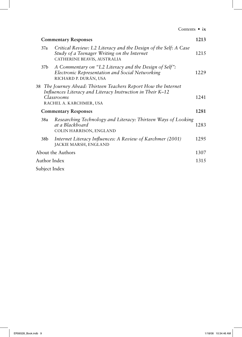|    |                 | Contents $\bullet$ ix                                                                                                                                               |      |
|----|-----------------|---------------------------------------------------------------------------------------------------------------------------------------------------------------------|------|
|    |                 | <b>Commentary Responses</b>                                                                                                                                         | 1213 |
|    | 37a             | Critical Review: L2 Literacy and the Design of the Self: A Case<br>Study of a Teenager Writing on the Internet<br>CATHERINE BEAVIS, AUSTRALIA                       | 1215 |
|    | 37 <sub>b</sub> | A Commentary on "L2 Literacy and the Design of Self":<br>Electronic Representation and Social Networking<br>RICHARD P. DURÁN, USA                                   | 1229 |
| 38 |                 | The Journey Ahead: Thirteen Teachers Report How the Internet<br>Influences Literacy and Literacy Instruction in Their K-12<br>Classrooms<br>RACHEL A. KARCHMER, USA | 1241 |
|    |                 | <b>Commentary Responses</b>                                                                                                                                         | 1281 |
|    | 38a             | Researching Technology and Literacy: Thirteen Ways of Looking<br>at a Blackboard<br>COLIN HARRISON, ENGLAND                                                         | 1283 |
|    | 38b             | Internet Literacy Influences: A Review of Karchmer (2001)<br>JACKIE MARSH, ENGLAND                                                                                  | 1295 |
|    |                 | About the Authors                                                                                                                                                   | 1307 |
|    | Author Index    |                                                                                                                                                                     | 1315 |
|    | Subject Index   |                                                                                                                                                                     |      |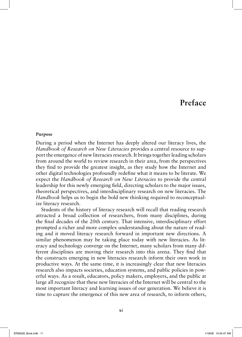### **Preface**

#### **Purpose**

During a period when the Internet has deeply altered our literacy lives, the *Handbook of Research on New Literacies* provides a central resource to support the emergence of new literacies research. It brings together leading scholars from around the world to review research in their area, from the perspectives they find to provide the greatest insight, as they study how the Internet and other digital technologies profoundly redefine what it means to be literate. We expect the *Handbook of Research on New Literacies* to provide the central leadership for this newly emerging field, directing scholars to the major issues, theoretical perspectives, and interdisciplinary research on new literacies. The *Handbook* helps us to begin the bold new thinking required to reconceptualize literacy research.

Students of the history of literacy research will recall that reading research attracted a broad collection of researchers, from many disciplines, during the final decades of the 20th century. That intensive, interdisciplinary effort prompted a richer and more complex understanding about the nature of reading and it moved literacy research forward in important new directions. A similar phenomenon may be taking place today with new literacies. As literacy and technology converge on the Internet, many scholars from many different disciplines are moving their research into this arena. They find that the constructs emerging in new literacies research inform their own work in productive ways. At the same time, it is increasingly clear that new literacies research also impacts societies, education systems, and public policies in powerful ways. As a result, educators, policy makers, employers, and the public at large all recognize that these new literacies of the Internet will be central to the most important literacy and learning issues of our generation. We believe it is time to capture the emergence of this new area of research, to inform others,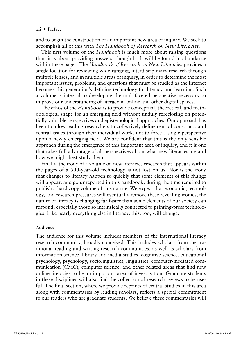and to begin the construction of an important new area of inquiry. We seek to accomplish all of this with *The Handbook of Research on New Literacies.*

This first volume of the *Handbook* is much more about raising questions than it is about providing answers, though both will be found in abundance within these pages. The *Handbook of Research on New Literacies* provides a single location for reviewing wide-ranging, interdisciplinary research through multiple lenses, and in multiple areas of inquiry, in order to determine the most important issues, problems, and questions that must be studied as the Internet becomes this generation's defining technology for literacy and learning. Such a volume is integral to developing the multifaceted perspective necessary to improve our understanding of literacy in online and other digital spaces.

The ethos of the *Handbook* is to provide conceptual, theoretical, and methodological shape for an emerging field without unduly foreclosing on potentially valuable perspectives and epistemological approaches. Our approach has been to allow leading researchers to collectively define central constructs and central issues through their individual work, not to force a single perspective upon a newly emerging field. We are confident that this is the only sensible approach during the emergence of this important area of inquiry, and it is one that takes full advantage of all perspectives about what new literacies are and how we might best study them.

Finally, the irony of a volume on new literacies research that appears within the pages of a 500-year-old technology is not lost on us. Nor is the irony that changes to literacy happen so quickly that some elements of this change will appear, and go unreported in this handbook, during the time required to publish a hard copy volume of this nature. We expect that economic, technology, and research pressures will eventually remove these revealing ironies; the nature of literacy is changing far faster than some elements of our society can respond, especially those so intrinsically connected to printing-press technologies. Like nearly everything else in literacy, this, too, will change.

#### **Audience**

The audience for this volume includes members of the international literacy research community, broadly conceived. This includes scholars from the traditional reading and writing research communities, as well as scholars from information science, library and media studies, cognitive science, educational psychology, psychology, sociolinguistics, linguistics, computer-mediated communication (CMC), computer science, and other related areas that find new online literacies to be an important area of investigation. Graduate students in these disciplines will also find the collection of research reviews to be useful. The final section, where we provide reprints of central studies in this area along with commentaries by leading scholars, reflects a special commitment to our readers who are graduate students. We believe these commentaries will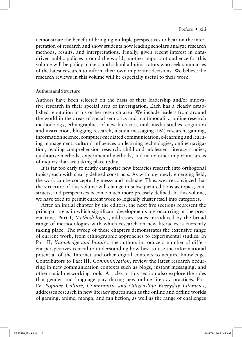demonstrate the benefit of bringing multiple perspectives to bear on the interpretation of research and show students how leading scholars analyze research methods, results, and interpretations. Finally, given recent interest in datadriven public policies around the world, another important audience for this volume will be policy makers and school administrators who seek summaries of the latest research to inform their own important decisions. We believe the research reviews in this volume will be especially useful to their work.

#### **Authors and Structure**

Authors have been selected on the basis of their leadership and/or innovative research in their special area of investigation. Each has a clearly established reputation in his or her research area. We include leaders from around the world in the areas of social semiotics and multimodality, online research methodology, ethnographies of new literacies, multimedia studies, cognition and instruction, blogging research, instant messaging (IM) research, gaming, information science, computer-mediated communication, e-learning and learning management, cultural influences on learning technologies, online navigation, reading comprehension research, child and adolescent literacy studies, qualitative methods, experimental methods, and many other important areas of inquiry that are taking place today.

It is far too early to neatly categorize new literacies research into orthogonal topics, each with clearly defined constructs. As with any newly emerging field, the work can be conceptually messy and inchoate. Thus, we are convinced that the structure of this volume will change in subsequent editions as topics, constructs, and perspectives become much more precisely defined. In this volume, we have tried to permit current work to logically cluster itself into categories.

After an initial chapter by the editors, the next five sections represent the principal areas in which significant developments are occurring at the present time. Part I, *Methodologies*, addresses issues introduced by the broad range of methodologies with which research on new literacies is currently taking place. The sweep of these chapters demonstrates the extensive range of current work, from ethnographic approaches to experimental studies. In Part II, *Knowledge and Inquiry*, the authors introduce a number of different perspectives central to understanding how best to use the informational potential of the Internet and other digital contexts to acquire knowledge. Contributors to Part III, *Communication*, review the latest research occurring in new communication contexts such as blogs, instant messaging, and other social networking tools. Articles in this section also explore the roles that gender and language play during new online literacy practices. Part IV, *Popular Culture, Community, and Citizenship: Everyday Literacies,* addresses research in new literacy spaces such as the online and offline worlds of gaming, anime, manga, and fan fiction, as well as the range of challenges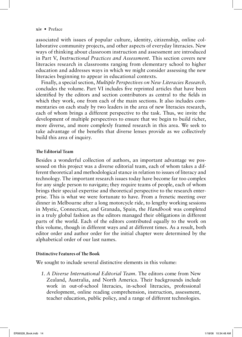#### **xiv** • Preface

associated with issues of popular culture, identity, citizenship, online collaborative community projects, and other aspects of everyday literacies. New ways of thinking about classroom instruction and assessment are introduced in Part V, *Instructional Practices and Assessment.* This section covers new literacies research in classrooms ranging from elementary school to higher education and addresses ways in which we might consider assessing the new literacies beginning to appear in educational contexts.

Finally, a special section, *Multiple Perspectives on New Literacies Research,*  concludes the volume. Part VI includes five reprinted articles that have been identified by the editors and section contributors as central to the fields in which they work, one from each of the main sections. It also includes commentaries on each study by two leaders in the area of new literacies research, each of whom brings a different perspective to the task. Thus, we invite the development of multiple perspectives to ensure that we begin to build richer, more diverse, and more complexly framed research in this area. We seek to take advantage of the benefits that diverse lenses provide as we collectively build this area of inquiry.

#### **The Editorial Team**

Besides a wonderful collection of authors, an important advantage we possessed on this project was a diverse editorial team, each of whom takes a different theoretical and methodological stance in relation to issues of literacy and technology. The important research issues today have become far too complex for any single person to navigate; they require teams of people, each of whom brings their special expertise and theoretical perspective to the research enterprise. This is what we were fortunate to have. From a frenetic meeting over dinner in Melbourne after a long motorcycle ride, to lengthy working sessions in Mystic, Connecticut, and Granada, Spain, the *Handbook* was completed in a truly global fashion as the editors managed their obligations in different parts of the world. Each of the editors contributed equally to the work on this volume, though in different ways and at different times. As a result, both editor order and author order for the initial chapter were determined by the alphabetical order of our last names.

#### **Distinctive Features of The Book**

We sought to include several distinctive elements in this volume:

*1. A Diverse International Editorial Team.* The editors come from New Zealand, Australia, and North America. Their backgrounds include work in out-of-school literacies, in-school literacies, professional development, online reading comprehension, instruction, assessment, teacher education, public policy, and a range of different technologies.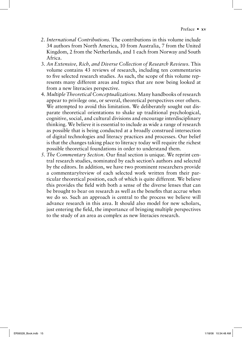- *2. International Contributions*. The contributions in this volume include 34 authors from North America, 10 from Australia, 7 from the United Kingdom, 2 from the Netherlands, and 1 each from Norway and South Africa.
- 3. *An Extensive, Rich, and Diverse Collection of Research Reviews.* This volume contains 43 reviews of research, including ten commentaries to five selected research studies. As such, the scope of this volume represents many different areas and topics that are now being looked at from a new literacies perspective.
- 4. *Multiple Theoretical Conceptualizations.* Many handbooks ofresearch appear to privilege one, or several, theoretical perspectives over others. We attempted to avoid this limitation. We deliberately sought out disparate theoretical orientations to shake up traditional psychological, cognitive, social, and cultural divisions and encourage interdisciplinary thinking. We believe it is essential to include as wide a range of research as possible that is being conducted at a broadly construed intersection of digital technologies and literacy practices and processes. Our belief is that the changes taking place to literacy today will require the richest possible theoretical foundations in order to understand them.
- *5. The Commentary Section.* Our final section is unique. We reprint central research studies, nominated by each section's authors and selected by the editors. In addition, we have two prominent researchers provide a commentary/review of each selected work written from their particular theoretical position, each of which is quite different. We believe this provides the field with both a sense of the diverse lenses that can be brought to bear on research as well as the benefits that accrue when we do so. Such an approach is central to the process we believe will advance research in this area. It should also model for new scholars, just entering the field, the importance of bringing multiple perspectives to the study of an area as complex as new literacies research.